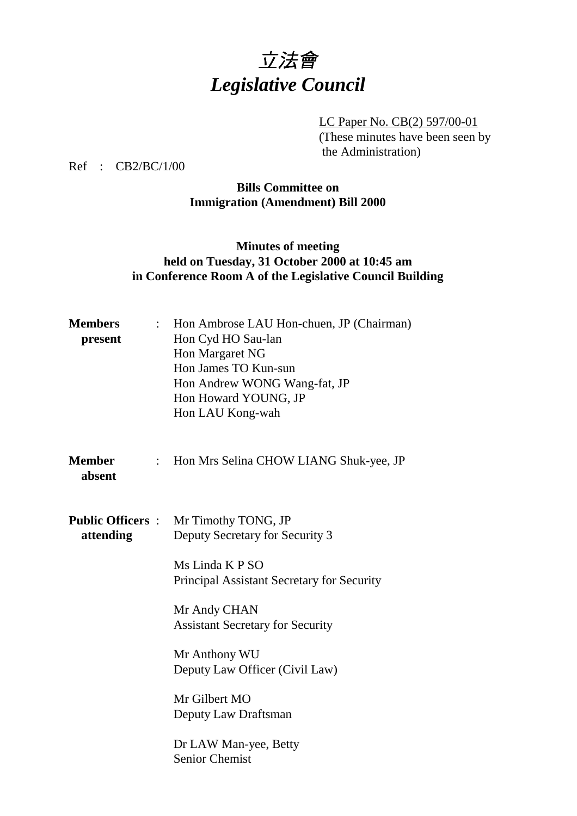# 立法會 *Legislative Council*

LC Paper No. CB(2) 597/00-01 (These minutes have been seen by the Administration)

Ref : CB2/BC/1/00

## **Bills Committee on Immigration (Amendment) Bill 2000**

## **Minutes of meeting held on Tuesday, 31 October 2000 at 10:45 am in Conference Room A of the Legislative Council Building**

| <b>Members</b><br>present             |                           | Hon Ambrose LAU Hon-chuen, JP (Chairman)<br>Hon Cyd HO Sau-lan<br>Hon Margaret NG<br>Hon James TO Kun-sun<br>Hon Andrew WONG Wang-fat, JP<br>Hon Howard YOUNG, JP<br>Hon LAU Kong-wah |
|---------------------------------------|---------------------------|---------------------------------------------------------------------------------------------------------------------------------------------------------------------------------------|
| <b>Member</b><br>absent               | $\mathbb{R}^{\mathbb{Z}}$ | Hon Mrs Selina CHOW LIANG Shuk-yee, JP                                                                                                                                                |
| <b>Public Officers :</b><br>attending |                           | Mr Timothy TONG, JP<br>Deputy Secretary for Security 3                                                                                                                                |
|                                       |                           | Ms Linda K P SO<br>Principal Assistant Secretary for Security                                                                                                                         |
|                                       |                           | Mr Andy CHAN<br><b>Assistant Secretary for Security</b>                                                                                                                               |
|                                       |                           | Mr Anthony WU<br>Deputy Law Officer (Civil Law)                                                                                                                                       |
|                                       |                           | Mr Gilbert MO<br>Deputy Law Draftsman                                                                                                                                                 |
|                                       |                           | Dr LAW Man-yee, Betty<br><b>Senior Chemist</b>                                                                                                                                        |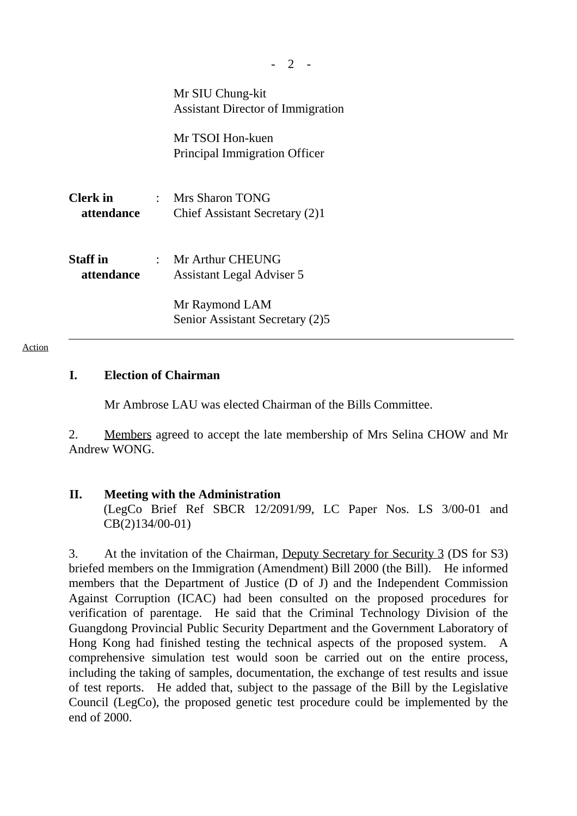|                               | Mr SIU Chung-kit<br><b>Assistant Director of Immigration</b> |
|-------------------------------|--------------------------------------------------------------|
|                               | Mr TSOI Hon-kuen<br>Principal Immigration Officer            |
| <b>Clerk</b> in<br>attendance | : Mrs Sharon TONG<br>Chief Assistant Secretary (2)1          |
| <b>Staff</b> in<br>attendance | : Mr Arthur CHEUNG<br><b>Assistant Legal Adviser 5</b>       |
|                               | Mr Raymond LAM<br>Senior Assistant Secretary (2)5            |

### **I. Election of Chairman**

Mr Ambrose LAU was elected Chairman of the Bills Committee.

2. Members agreed to accept the late membership of Mrs Selina CHOW and Mr Andrew WONG.

#### **II. Meeting with the Administration**

(LegCo Brief Ref SBCR 12/2091/99, LC Paper Nos. LS 3/00-01 and CB(2)134/00-01)

3. At the invitation of the Chairman, Deputy Secretary for Security 3 (DS for S3) briefed members on the Immigration (Amendment) Bill 2000 (the Bill). He informed members that the Department of Justice (D of J) and the Independent Commission Against Corruption (ICAC) had been consulted on the proposed procedures for verification of parentage. He said that the Criminal Technology Division of the Guangdong Provincial Public Security Department and the Government Laboratory of Hong Kong had finished testing the technical aspects of the proposed system. A comprehensive simulation test would soon be carried out on the entire process, including the taking of samples, documentation, the exchange of test results and issue of test reports. He added that, subject to the passage of the Bill by the Legislative Council (LegCo), the proposed genetic test procedure could be implemented by the end of 2000.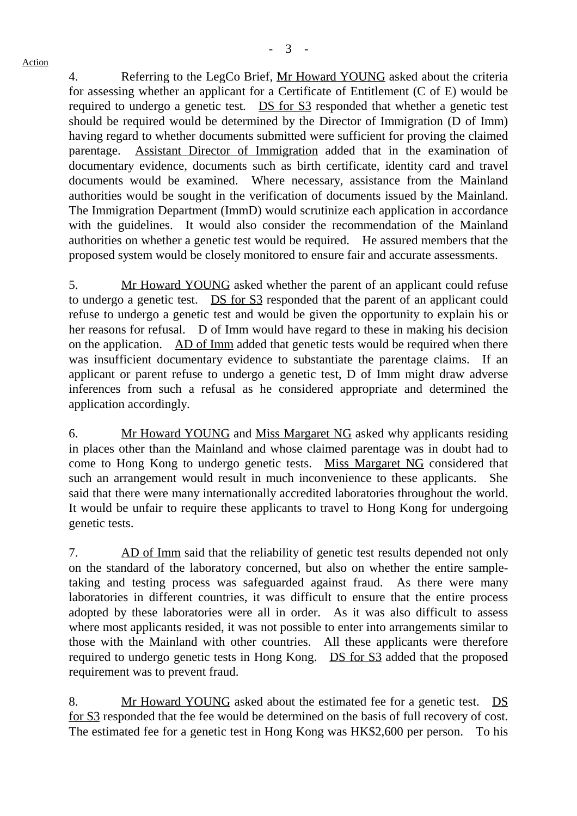4. Referring to the LegCo Brief, Mr Howard YOUNG asked about the criteria for assessing whether an applicant for a Certificate of Entitlement (C of E) would be required to undergo a genetic test. DS for S3 responded that whether a genetic test should be required would be determined by the Director of Immigration (D of Imm) having regard to whether documents submitted were sufficient for proving the claimed parentage. Assistant Director of Immigration added that in the examination of documentary evidence, documents such as birth certificate, identity card and travel documents would be examined. Where necessary, assistance from the Mainland authorities would be sought in the verification of documents issued by the Mainland. The Immigration Department (ImmD) would scrutinize each application in accordance with the guidelines. It would also consider the recommendation of the Mainland authorities on whether a genetic test would be required. He assured members that the proposed system would be closely monitored to ensure fair and accurate assessments.

5. Mr Howard YOUNG asked whether the parent of an applicant could refuse to undergo a genetic test. DS for S3 responded that the parent of an applicant could refuse to undergo a genetic test and would be given the opportunity to explain his or her reasons for refusal. D of Imm would have regard to these in making his decision on the application. AD of Imm added that genetic tests would be required when there was insufficient documentary evidence to substantiate the parentage claims. If an applicant or parent refuse to undergo a genetic test, D of Imm might draw adverse inferences from such a refusal as he considered appropriate and determined the application accordingly.

6. Mr Howard YOUNG and Miss Margaret NG asked why applicants residing in places other than the Mainland and whose claimed parentage was in doubt had to come to Hong Kong to undergo genetic tests. Miss Margaret NG considered that such an arrangement would result in much inconvenience to these applicants. She said that there were many internationally accredited laboratories throughout the world. It would be unfair to require these applicants to travel to Hong Kong for undergoing genetic tests.

7. AD of Imm said that the reliability of genetic test results depended not only on the standard of the laboratory concerned, but also on whether the entire sampletaking and testing process was safeguarded against fraud. As there were many laboratories in different countries, it was difficult to ensure that the entire process adopted by these laboratories were all in order. As it was also difficult to assess where most applicants resided, it was not possible to enter into arrangements similar to those with the Mainland with other countries. All these applicants were therefore required to undergo genetic tests in Hong Kong. DS for S3 added that the proposed requirement was to prevent fraud.

8. Mr Howard YOUNG asked about the estimated fee for a genetic test. DS for S3 responded that the fee would be determined on the basis of full recovery of cost. The estimated fee for a genetic test in Hong Kong was HK\$2,600 per person. To his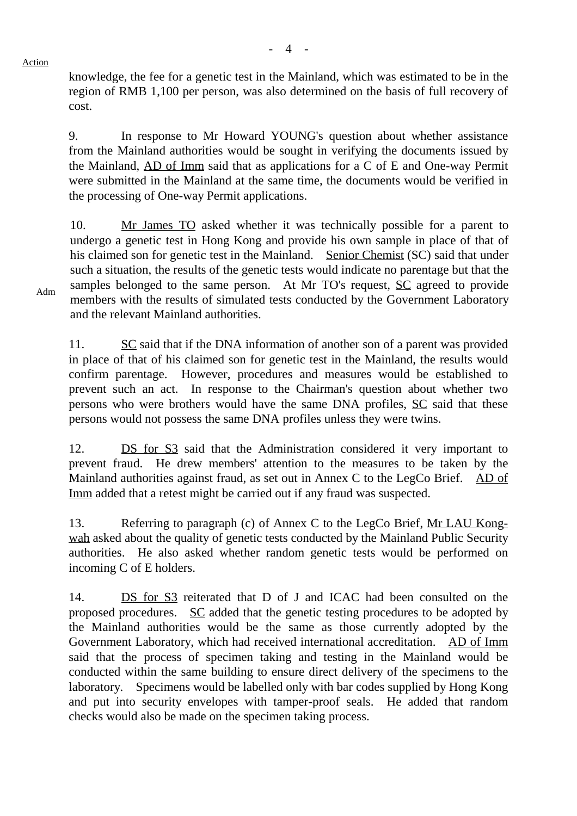$-4$  -

knowledge, the fee for a genetic test in the Mainland, which was estimated to be in the region of RMB 1,100 per person, was also determined on the basis of full recovery of cost.

9. In response to Mr Howard YOUNG's question about whether assistance from the Mainland authorities would be sought in verifying the documents issued by the Mainland, AD of Imm said that as applications for a C of E and One-way Permit were submitted in the Mainland at the same time, the documents would be verified in the processing of One-way Permit applications.

10. Mr James TO asked whether it was technically possible for a parent to undergo a genetic test in Hong Kong and provide his own sample in place of that of his claimed son for genetic test in the Mainland. Senior Chemist (SC) said that under such a situation, the results of the genetic tests would indicate no parentage but that the samples belonged to the same person. At Mr TO's request, SC agreed to provide members with the results of simulated tests conducted by the Government Laboratory and the relevant Mainland authorities.

11. SC said that if the DNA information of another son of a parent was provided in place of that of his claimed son for genetic test in the Mainland, the results would confirm parentage. However, procedures and measures would be established to prevent such an act. In response to the Chairman's question about whether two persons who were brothers would have the same DNA profiles, SC said that these persons would not possess the same DNA profiles unless they were twins.

12. DS for S3 said that the Administration considered it very important to prevent fraud. He drew members' attention to the measures to be taken by the Mainland authorities against fraud, as set out in Annex C to the LegCo Brief. AD of Imm added that a retest might be carried out if any fraud was suspected.

13. Referring to paragraph (c) of Annex C to the LegCo Brief, Mr LAU Kongwah asked about the quality of genetic tests conducted by the Mainland Public Security authorities. He also asked whether random genetic tests would be performed on incoming C of E holders.

14. DS for S3 reiterated that D of J and ICAC had been consulted on the proposed procedures. SC added that the genetic testing procedures to be adopted by the Mainland authorities would be the same as those currently adopted by the Government Laboratory, which had received international accreditation. AD of Imm said that the process of specimen taking and testing in the Mainland would be conducted within the same building to ensure direct delivery of the specimens to the laboratory. Specimens would be labelled only with bar codes supplied by Hong Kong and put into security envelopes with tamper-proof seals. He added that random checks would also be made on the specimen taking process.

Adm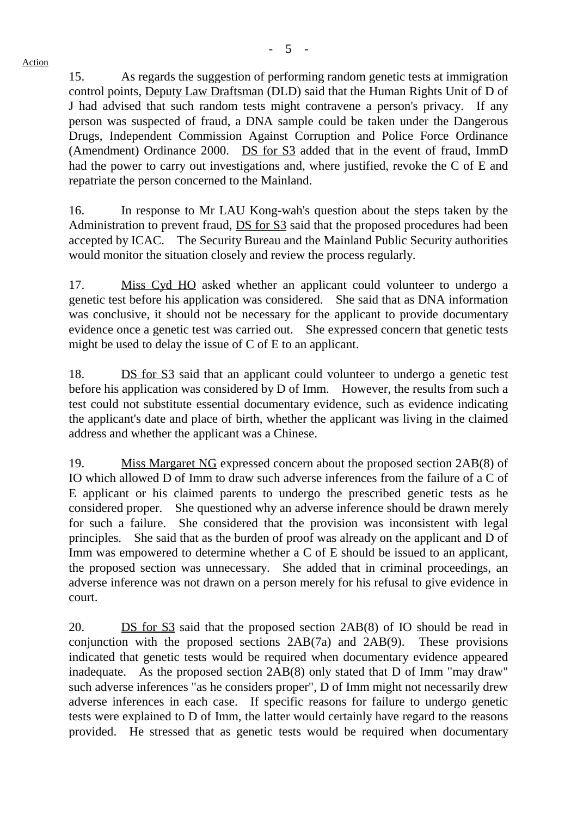15. As regards the suggestion of performing random genetic tests at immigration control points, Deputy Law Draftsman (DLD) said that the Human Rights Unit of D of J had advised that such random tests might contravene a person's privacy. If any person was suspected of fraud, a DNA sample could be taken under the Dangerous Drugs, Independent Commission Against Corruption and Police Force Ordinance (Amendment) Ordinance 2000. DS for S3 added that in the event of fraud, ImmD had the power to carry out investigations and, where justified, revoke the C of E and repatriate the person concerned to the Mainland.

16. In response to Mr LAU Kong-wah's question about the steps taken by the Administration to prevent fraud, DS for S3 said that the proposed procedures had been accepted by ICAC. The Security Bureau and the Mainland Public Security authorities would monitor the situation closely and review the process regularly.

17. Miss Cyd HO asked whether an applicant could volunteer to undergo a genetic test before his application was considered. She said that as DNA information was conclusive, it should not be necessary for the applicant to provide documentary evidence once a genetic test was carried out. She expressed concern that genetic tests might be used to delay the issue of C of E to an applicant.

18. **DS** for S3 said that an applicant could volunteer to undergo a genetic test before his application was considered by D of Imm. However, the results from such a test could not substitute essential documentary evidence, such as evidence indicating the applicant's date and place of birth, whether the applicant was living in the claimed address and whether the applicant was a Chinese.

19. Miss Margaret NG expressed concern about the proposed section 2AB(8) of IO which allowed D of Imm to draw such adverse inferences from the failure of a C of E applicant or his claimed parents to undergo the prescribed genetic tests as he considered proper. She questioned why an adverse inference should be drawn merely for such a failure. She considered that the provision was inconsistent with legal principles. She said that as the burden of proof was already on the applicant and D of Imm was empowered to determine whether a C of E should be issued to an applicant, the proposed section was unnecessary. She added that in criminal proceedings, an adverse inference was not drawn on a person merely for his refusal to give evidence in court.

20. DS for S3 said that the proposed section 2AB(8) of IO should be read in conjunction with the proposed sections 2AB(7a) and 2AB(9). These provisions indicated that genetic tests would be required when documentary evidence appeared inadequate. As the proposed section 2AB(8) only stated that D of Imm "may draw" such adverse inferences "as he considers proper", D of Imm might not necessarily drew adverse inferences in each case. If specific reasons for failure to undergo genetic tests were explained to D of Imm, the latter would certainly have regard to the reasons provided. He stressed that as genetic tests would be required when documentary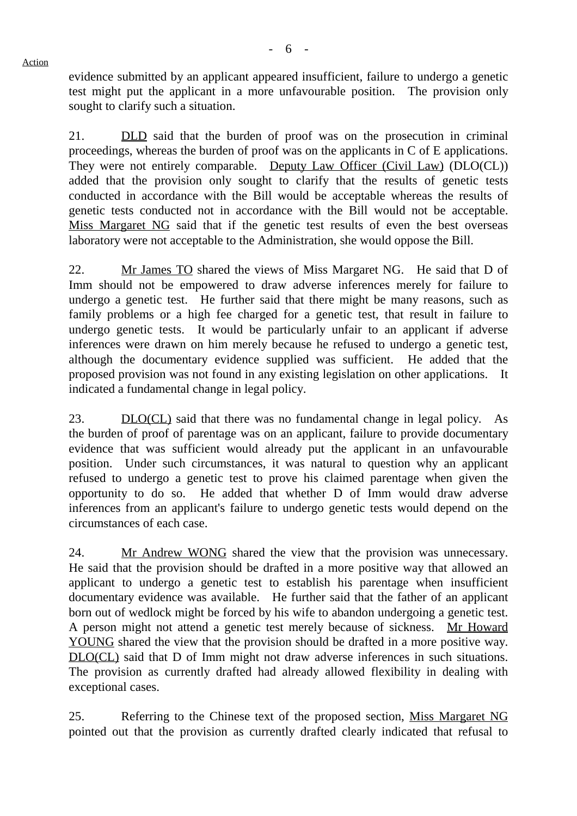evidence submitted by an applicant appeared insufficient, failure to undergo a genetic test might put the applicant in a more unfavourable position. The provision only sought to clarify such a situation.

21. **DLD** said that the burden of proof was on the prosecution in criminal proceedings, whereas the burden of proof was on the applicants in C of E applications. They were not entirely comparable. Deputy Law Officer (Civil Law) (DLO(CL)) added that the provision only sought to clarify that the results of genetic tests conducted in accordance with the Bill would be acceptable whereas the results of genetic tests conducted not in accordance with the Bill would not be acceptable. Miss Margaret NG said that if the genetic test results of even the best overseas laboratory were not acceptable to the Administration, she would oppose the Bill.

22. Mr James TO shared the views of Miss Margaret NG. He said that D of Imm should not be empowered to draw adverse inferences merely for failure to undergo a genetic test. He further said that there might be many reasons, such as family problems or a high fee charged for a genetic test, that result in failure to undergo genetic tests. It would be particularly unfair to an applicant if adverse inferences were drawn on him merely because he refused to undergo a genetic test, although the documentary evidence supplied was sufficient. He added that the proposed provision was not found in any existing legislation on other applications. It indicated a fundamental change in legal policy.

23. DLO(CL) said that there was no fundamental change in legal policy. As the burden of proof of parentage was on an applicant, failure to provide documentary evidence that was sufficient would already put the applicant in an unfavourable position. Under such circumstances, it was natural to question why an applicant refused to undergo a genetic test to prove his claimed parentage when given the opportunity to do so. He added that whether D of Imm would draw adverse inferences from an applicant's failure to undergo genetic tests would depend on the circumstances of each case.

24. Mr Andrew WONG shared the view that the provision was unnecessary. He said that the provision should be drafted in a more positive way that allowed an applicant to undergo a genetic test to establish his parentage when insufficient documentary evidence was available. He further said that the father of an applicant born out of wedlock might be forced by his wife to abandon undergoing a genetic test. A person might not attend a genetic test merely because of sickness. Mr Howard YOUNG shared the view that the provision should be drafted in a more positive way. DLO(CL) said that D of Imm might not draw adverse inferences in such situations. The provision as currently drafted had already allowed flexibility in dealing with exceptional cases.

25. Referring to the Chinese text of the proposed section, Miss Margaret NG pointed out that the provision as currently drafted clearly indicated that refusal to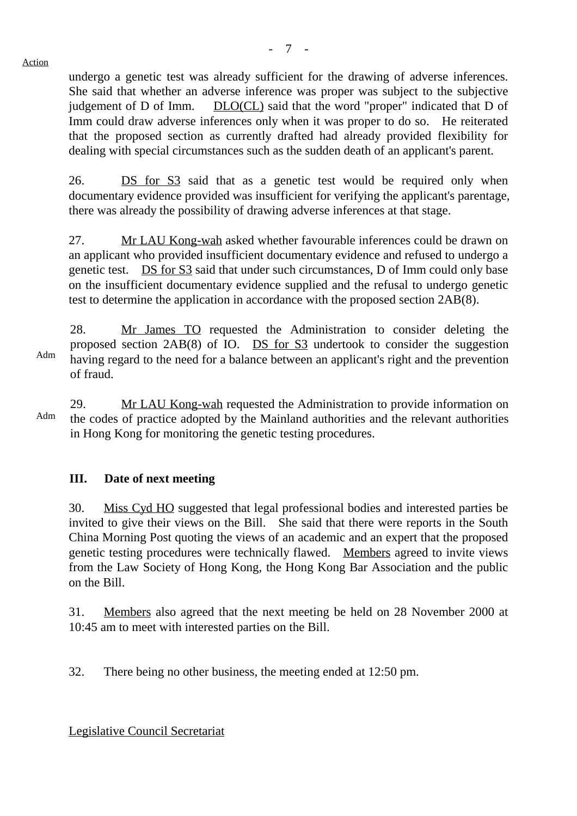- 7 -

undergo a genetic test was already sufficient for the drawing of adverse inferences. She said that whether an adverse inference was proper was subject to the subjective judgement of D of Imm. DLO(CL) said that the word "proper" indicated that D of Imm could draw adverse inferences only when it was proper to do so. He reiterated that the proposed section as currently drafted had already provided flexibility for dealing with special circumstances such as the sudden death of an applicant's parent.

26. DS for S3 said that as a genetic test would be required only when documentary evidence provided was insufficient for verifying the applicant's parentage, there was already the possibility of drawing adverse inferences at that stage.

27. Mr LAU Kong-wah asked whether favourable inferences could be drawn on an applicant who provided insufficient documentary evidence and refused to undergo a genetic test. DS for S3 said that under such circumstances, D of Imm could only base on the insufficient documentary evidence supplied and the refusal to undergo genetic test to determine the application in accordance with the proposed section 2AB(8).

28. Mr James TO requested the Administration to consider deleting the proposed section 2AB(8) of IO. DS for S3 undertook to consider the suggestion having regard to the need for a balance between an applicant's right and the prevention of fraud.

Adm 29. Mr LAU Kong-wah requested the Administration to provide information on the codes of practice adopted by the Mainland authorities and the relevant authorities in Hong Kong for monitoring the genetic testing procedures.

## **III. Date of next meeting**

30. Miss Cyd HO suggested that legal professional bodies and interested parties be invited to give their views on the Bill. She said that there were reports in the South China Morning Post quoting the views of an academic and an expert that the proposed genetic testing procedures were technically flawed. Members agreed to invite views from the Law Society of Hong Kong, the Hong Kong Bar Association and the public on the Bill.

31. Members also agreed that the next meeting be held on 28 November 2000 at 10:45 am to meet with interested parties on the Bill.

32. There being no other business, the meeting ended at 12:50 pm.

Legislative Council Secretariat

Adm